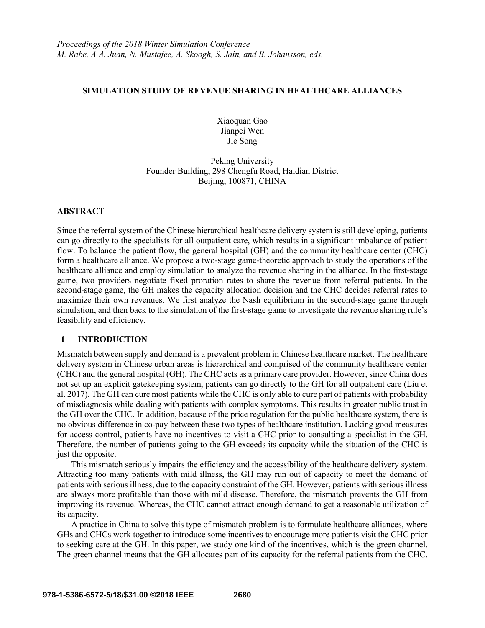# **SIMULATION STUDY OF REVENUE SHARING IN HEALTHCARE ALLIANCES**

Xiaoquan Gao Jianpei Wen Jie Song

Peking University Founder Building, 298 Chengfu Road, Haidian District Beijing, 100871, CHINA

# **ABSTRACT**

Since the referral system of the Chinese hierarchical healthcare delivery system is still developing, patients can go directly to the specialists for all outpatient care, which results in a significant imbalance of patient flow. To balance the patient flow, the general hospital (GH) and the community healthcare center (CHC) form a healthcare alliance. We propose a two-stage game-theoretic approach to study the operations of the healthcare alliance and employ simulation to analyze the revenue sharing in the alliance. In the first-stage game, two providers negotiate fixed proration rates to share the revenue from referral patients. In the second-stage game, the GH makes the capacity allocation decision and the CHC decides referral rates to maximize their own revenues. We first analyze the Nash equilibrium in the second-stage game through simulation, and then back to the simulation of the first-stage game to investigate the revenue sharing rule's feasibility and efficiency.

# **1 INTRODUCTION**

Mismatch between supply and demand is a prevalent problem in Chinese healthcare market. The healthcare delivery system in Chinese urban areas is hierarchical and comprised of the community healthcare center (CHC) and the general hospital (GH). The CHC acts as a primary care provider. However, since China does not set up an explicit gatekeeping system, patients can go directly to the GH for all outpatient care (Liu et al. 2017). The GH can cure most patients while the CHC is only able to cure part of patients with probability of misdiagnosis while dealing with patients with complex symptoms. This results in greater public trust in the GH over the CHC. In addition, because of the price regulation for the public healthcare system, there is no obvious difference in co-pay between these two types of healthcare institution. Lacking good measures for access control, patients have no incentives to visit a CHC prior to consulting a specialist in the GH. Therefore, the number of patients going to the GH exceeds its capacity while the situation of the CHC is just the opposite.

This mismatch seriously impairs the efficiency and the accessibility of the healthcare delivery system. Attracting too many patients with mild illness, the GH may run out of capacity to meet the demand of patients with serious illness, due to the capacity constraint of the GH. However, patients with serious illness are always more profitable than those with mild disease. Therefore, the mismatch prevents the GH from improving its revenue. Whereas, the CHC cannot attract enough demand to get a reasonable utilization of its capacity.

A practice in China to solve this type of mismatch problem is to formulate healthcare alliances, where GHs and CHCs work together to introduce some incentives to encourage more patients visit the CHC prior to seeking care at the GH. In this paper, we study one kind of the incentives, which is the green channel. The green channel means that the GH allocates part of its capacity for the referral patients from the CHC.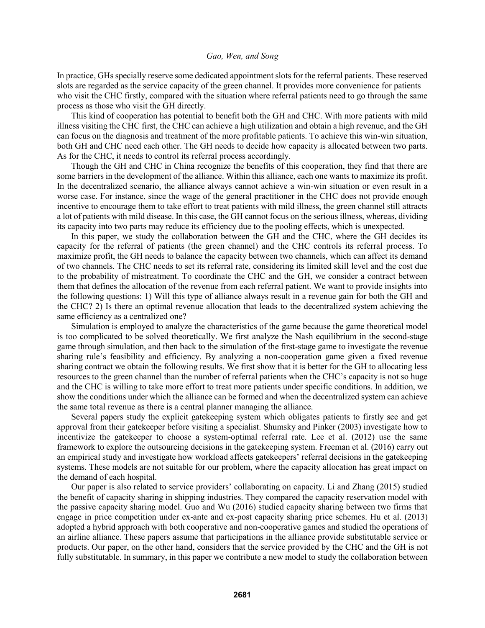In practice, GHs specially reserve some dedicated appointment slots for the referral patients. These reserved slots are regarded as the service capacity of the green channel. It provides more convenience for patients who visit the CHC firstly, compared with the situation where referral patients need to go through the same process as those who visit the GH directly.

This kind of cooperation has potential to benefit both the GH and CHC. With more patients with mild illness visiting the CHC first, the CHC can achieve a high utilization and obtain a high revenue, and the GH can focus on the diagnosis and treatment of the more profitable patients. To achieve this win-win situation, both GH and CHC need each other. The GH needs to decide how capacity is allocated between two parts. As for the CHC, it needs to control its referral process accordingly.

Though the GH and CHC in China recognize the benefits of this cooperation, they find that there are some barriers in the development of the alliance. Within this alliance, each one wants to maximize its profit. In the decentralized scenario, the alliance always cannot achieve a win-win situation or even result in a worse case. For instance, since the wage of the general practitioner in the CHC does not provide enough incentive to encourage them to take effort to treat patients with mild illness, the green channel still attracts a lot of patients with mild disease. In this case, the GH cannot focus on the serious illness, whereas, dividing its capacity into two parts may reduce its efficiency due to the pooling effects, which is unexpected.

In this paper, we study the collaboration between the GH and the CHC, where the GH decides its capacity for the referral of patients (the green channel) and the CHC controls its referral process. To maximize profit, the GH needs to balance the capacity between two channels, which can affect its demand of two channels. The CHC needs to set its referral rate, considering its limited skill level and the cost due to the probability of mistreatment. To coordinate the CHC and the GH, we consider a contract between them that defines the allocation of the revenue from each referral patient. We want to provide insights into the following questions: 1) Will this type of alliance always result in a revenue gain for both the GH and the CHC? 2) Is there an optimal revenue allocation that leads to the decentralized system achieving the same efficiency as a centralized one?

Simulation is employed to analyze the characteristics of the game because the game theoretical model is too complicated to be solved theoretically. We first analyze the Nash equilibrium in the second-stage game through simulation, and then back to the simulation of the first-stage game to investigate the revenue sharing rule's feasibility and efficiency. By analyzing a non-cooperation game given a fixed revenue sharing contract we obtain the following results. We first show that it is better for the GH to allocating less resources to the green channel than the number of referral patients when the CHC's capacity is not so huge and the CHC is willing to take more effort to treat more patients under specific conditions. In addition, we show the conditions under which the alliance can be formed and when the decentralized system can achieve the same total revenue as there is a central planner managing the alliance.

Several papers study the explicit gatekeeping system which obligates patients to firstly see and get approval from their gatekeeper before visiting a specialist. Shumsky and Pinker (2003) investigate how to incentivize the gatekeeper to choose a system-optimal referral rate. Lee et al. (2012) use the same framework to explore the outsourcing decisions in the gatekeeping system. Freeman et al. (2016) carry out an empirical study and investigate how workload affects gatekeepers' referral decisions in the gatekeeping systems. These models are not suitable for our problem, where the capacity allocation has great impact on the demand of each hospital.

Our paper is also related to service providers' collaborating on capacity. Li and Zhang (2015) studied the benefit of capacity sharing in shipping industries. They compared the capacity reservation model with the passive capacity sharing model. Guo and Wu (2016) studied capacity sharing between two firms that engage in price competition under ex-ante and ex-post capacity sharing price schemes. Hu et al. (2013) adopted a hybrid approach with both cooperative and non-cooperative games and studied the operations of an airline alliance. These papers assume that participations in the alliance provide substitutable service or products. Our paper, on the other hand, considers that the service provided by the CHC and the GH is not fully substitutable. In summary, in this paper we contribute a new model to study the collaboration between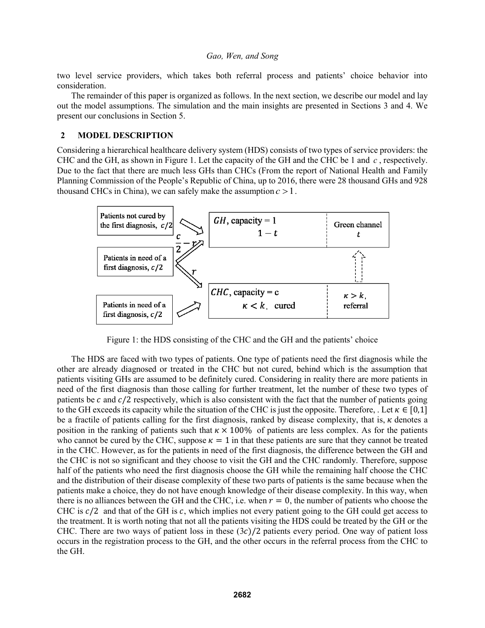two level service providers, which takes both referral process and patients' choice behavior into consideration.

The remainder of this paper is organized as follows. In the next section, we describe our model and lay out the model assumptions. The simulation and the main insights are presented in Sections 3 and 4. We present our conclusions in Section 5.

## **2 MODEL DESCRIPTION**

Considering a hierarchical healthcare delivery system (HDS) consists of two types of service providers: the CHC and the GH, as shown in Figure 1. Let the capacity of the GH and the CHC be 1 and *c* , respectively. Due to the fact that there are much less GHs than CHCs (From the report of National Health and Family Planning Commission of the People's Republic of China, up to 2016, there were 28 thousand GHs and 928 thousand CHCs in China), we can safely make the assumption  $c > 1$ .



Figure 1: the HDS consisting of the CHC and the GH and the patients' choice

The HDS are faced with two types of patients. One type of patients need the first diagnosis while the other are already diagnosed or treated in the CHC but not cured, behind which is the assumption that patients visiting GHs are assumed to be definitely cured. Considering in reality there are more patients in need of the first diagnosis than those calling for further treatment, let the number of these two types of patients be  $c$  and  $c/2$  respectively, which is also consistent with the fact that the number of patients going to the GH exceeds its capacity while the situation of the CHC is just the opposite. Therefore, . Let  $\kappa \in [0,1]$ be a fractile of patients calling for the first diagnosis, ranked by disease complexity, that is,  $\kappa$  denotes a position in the ranking of patients such that  $\kappa \times 100\%$  of patients are less complex. As for the patients who cannot be cured by the CHC, suppose  $\kappa = 1$  in that these patients are sure that they cannot be treated in the CHC. However, as for the patients in need of the first diagnosis, the difference between the GH and the CHC is not so significant and they choose to visit the GH and the CHC randomly. Therefore, suppose half of the patients who need the first diagnosis choose the GH while the remaining half choose the CHC and the distribution of their disease complexity of these two parts of patients is the same because when the patients make a choice, they do not have enough knowledge of their disease complexity. In this way, when there is no alliances between the GH and the CHC, i.e. when  $r = 0$ , the number of patients who choose the CHC is  $c/2$  and that of the GH is c, which implies not every patient going to the GH could get access to the treatment. It is worth noting that not all the patients visiting the HDS could be treated by the GH or the CHC. There are two ways of patient loss in these  $(3c)/2$  patients every period. One way of patient loss occurs in the registration process to the GH, and the other occurs in the referral process from the CHC to the GH.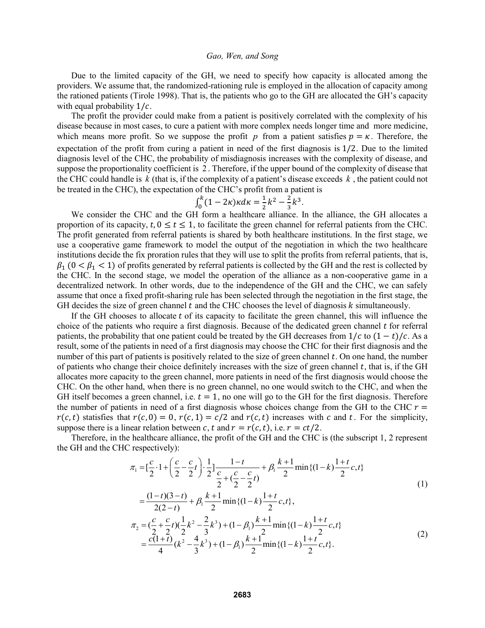Due to the limited capacity of the GH, we need to specify how capacity is allocated among the providers. We assume that, the randomized-rationing rule is employed in the allocation of capacity among the rationed patients (Tirole 1998). That is, the patients who go to the GH are allocated the GH's capacity with equal probability  $1/c$ .

The profit the provider could make from a patient is positively correlated with the complexity of his disease because in most cases, to cure a patient with more complex needs longer time and more medicine, which means more profit. So we suppose the profit p from a patient satisfies  $p = \kappa$ . Therefore, the expectation of the profit from curing a patient in need of the first diagnosis is 1/2. Due to the limited diagnosis level of the CHC, the probability of misdiagnosis increases with the complexity of disease, and suppose the proportionality coefficient is 2 . Therefore, if the upper bound of the complexity of disease that the CHC could handle is  $k$  (that is, if the complexity of a patient's disease exceeds  $k$ , the patient could not be treated in the CHC), the expectation of the CHC's profit from a patient is

$$
\int_0^k (1 - 2\kappa)\kappa d\kappa = \frac{1}{2}k^2 - \frac{2}{3}k^3.
$$

We consider the CHC and the GH form a healthcare alliance. In the alliance, the GH allocates a proportion of its capacity,  $t, 0 \le t \le 1$ , to facilitate the green channel for referral patients from the CHC. The profit generated from referral patients is shared by both healthcare institutions. In the first stage, we use a cooperative game framework to model the output of the negotiation in which the two healthcare institutions decide the fix proration rules that they will use to split the profits from referral patients, that is,  $\beta_1$  (0 <  $\beta_1$  < 1) of profits generated by referral patients is collected by the GH and the rest is collected by the CHC. In the second stage, we model the operation of the alliance as a non-cooperative game in a decentralized network. In other words, due to the independence of the GH and the CHC, we can safely assume that once a fixed profit-sharing rule has been selected through the negotiation in the first stage, the GH decides the size of green channel  $t$  and the CHC chooses the level of diagnosis  $k$  simultaneously.

If the GH chooses to allocate  $t$  of its capacity to facilitate the green channel, this will influence the choice of the patients who require a first diagnosis. Because of the dedicated green channel  $t$  for referral patients, the probability that one patient could be treated by the GH decreases from  $1/c$  to  $(1-t)/c$ . As a result, some of the patients in need of a first diagnosis may choose the CHC for their first diagnosis and the number of this part of patients is positively related to the size of green channel  $t$ . On one hand, the number of patients who change their choice definitely increases with the size of green channel  $t$ , that is, if the GH allocates more capacity to the green channel, more patients in need of the first diagnosis would choose the CHC. On the other hand, when there is no green channel, no one would switch to the CHC, and when the GH itself becomes a green channel, i.e.  $t = 1$ , no one will go to the GH for the first diagnosis. Therefore the number of patients in need of a first diagnosis whose choices change from the GH to the CHC  $r =$  $r(c, t)$  statisfies that  $r(c, 0) = 0$ ,  $r(c, 1) = c/2$  and  $r(c, t)$  increases with c and t. For the simplicity, suppose there is a linear relation between c, t and  $r = r(c, t)$ , i.e.  $r = ct/2$ .

Therefore, in the healthcare alliance, the profit of the GH and the CHC is (the subscript 1, 2 represent GH and the CHC respectively):<br>  $\pi_1 = \left[\frac{c}{2} \cdot 1 + \left(\frac{c}{2} - \frac{c}{2}t\right) \cdot \frac{1}{2}\right] \cdot \frac{1-t}{c} + \beta_1 \cdot \frac{k+1}{2} \min\{(1-k)\frac$ the GH and the CHC respectively):

respectively):  
\n
$$
\pi_1 = \left[\frac{c}{2} \cdot 1 + \left(\frac{c}{2} - \frac{c}{2}t\right) \cdot \frac{1}{2}\right] \frac{1-t}{c} + \beta_1 \frac{k+1}{2} \min\{(1-k)\frac{1+t}{2}c, t\}
$$
\n
$$
= \frac{(1-t)(3-t)}{2(2-t)} + \beta_1 \frac{k+1}{2} \min\{(1-k)\frac{1+t}{2}c, t\},
$$
\n
$$
\pi_2 = \left(\frac{c}{2} + \frac{c}{2}t\right) \left(\frac{1}{2}k^2 - \frac{2}{3}k^3\right) + (1-\beta_1) \frac{k+1}{2} \min\{(1-k)\frac{1+t}{2}c, t\}
$$
\n
$$
= \frac{c(1+t)}{4}(k^2 - \frac{4}{3}k^3) + (1-\beta_1) \frac{k+1}{2} \min\{(1-k)\frac{1+t}{2}c, t\}.
$$
\n(2)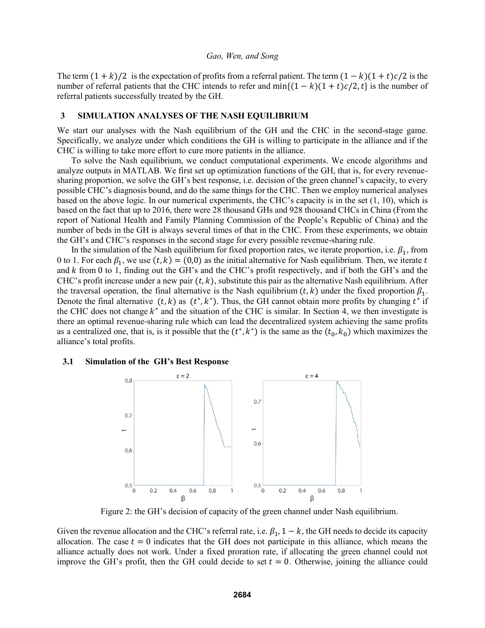The term  $(1 + k)/2$  is the expectation of profits from a referral patient. The term  $(1 - k)(1 + t)c/2$  is the number of referral patients that the CHC intends to refer and min $\{(1 - k)(1 + t)c/2, t\}$  is the number of referral patients successfully treated by the GH.

## **3 SIMULATION ANALYSES OF THE NASH EQUILIBRIUM**

We start our analyses with the Nash equilibrium of the GH and the CHC in the second-stage game. Specifically, we analyze under which conditions the GH is willing to participate in the alliance and if the CHC is willing to take more effort to cure more patients in the alliance.

To solve the Nash equilibrium, we conduct computational experiments. We encode algorithms and analyze outputs in MATLAB. We first set up optimization functions of the GH, that is, for every revenuesharing proportion, we solve the GH's best response, i.e. decision of the green channel's capacity, to every possible CHC's diagnosis bound, and do the same things for the CHC. Then we employ numerical analyses based on the above logic. In our numerical experiments, the CHC's capacity is in the set (1, 10), which is based on the fact that up to 2016, there were 28 thousand GHs and 928 thousand CHCs in China (From the report of National Health and Family Planning Commission of the People's Republic of China) and the number of beds in the GH is always several times of that in the CHC. From these experiments, we obtain the GH's and CHC's responses in the second stage for every possible revenue-sharing rule.

In the simulation of the Nash equilibrium for fixed proportion rates, we iterate proportion, i.e.  $\beta_1$ , from 0 to 1. For each  $\beta_1$ , we use  $(t, k) = (0, 0)$  as the initial alternative for Nash equilibrium. Then, we iterate t and  $k$  from 0 to 1, finding out the GH's and the CHC's profit respectively, and if both the GH's and the CHC's profit increase under a new pair  $(t, k)$ , substitute this pair as the alternative Nash equilibrium. After the traversal operation, the final alternative is the Nash equilibrium  $(t, k)$  under the fixed proportion  $\beta_1$ . Denote the final alternative  $(t, k)$  as  $(t^*, k^*)$ . Thus, the GH cannot obtain more profits by changing  $t^*$  if the CHC does not change  $k^*$  and the situation of the CHC is similar. In Section 4, we then investigate is there an optimal revenue-sharing rule which can lead the decentralized system achieving the same profits as a centralized one, that is, is it possible that the  $(t^*, k^*)$  is the same as the  $(t_0, k_0)$  which maximizes the alliance's total profits.

### **3.1 Simulation of the GH's Best Response**



Figure 2: the GH's decision of capacity of the green channel under Nash equilibrium.

Given the revenue allocation and the CHC's referral rate, i.e.  $\beta_1$ , 1 – k, the GH needs to decide its capacity allocation. The case  $t = 0$  indicates that the GH does not participate in this alliance, which means the alliance actually does not work. Under a fixed proration rate, if allocating the green channel could not improve the GH's profit, then the GH could decide to set  $t = 0$ . Otherwise, joining the alliance could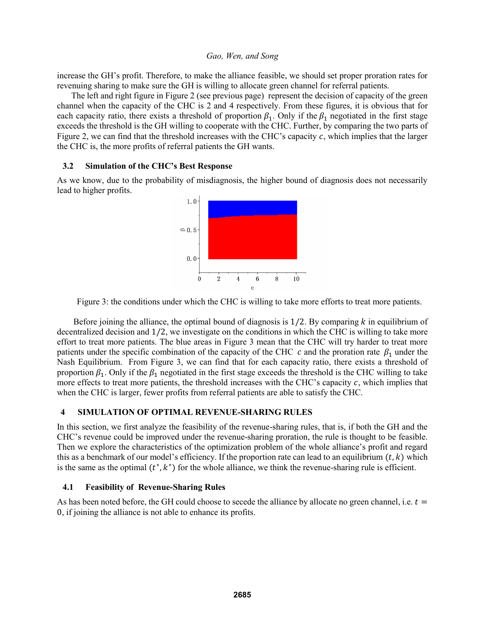increase the GH's profit. Therefore, to make the alliance feasible, we should set proper proration rates for revenuing sharing to make sure the GH is willing to allocate green channel for referral patients.

The left and right figure in Figure 2 (see previous page) represent the decision of capacity of the green channel when the capacity of the CHC is 2 and 4 respectively. From these figures, it is obvious that for each capacity ratio, there exists a threshold of proportion  $\beta_1$ . Only if the  $\beta_1$  negotiated in the first stage exceeds the threshold is the GH willing to cooperate with the CHC. Further, by comparing the two parts of Figure 2, we can find that the threshold increases with the CHC's capacity  $c$ , which implies that the larger the CHC is, the more profits of referral patients the GH wants.

## **3.2 Simulation of the CHC's Best Response**

As we know, due to the probability of misdiagnosis, the higher bound of diagnosis does not necessarily lead to higher profits.



Figure 3: the conditions under which the CHC is willing to take more efforts to treat more patients.

Before joining the alliance, the optimal bound of diagnosis is  $1/2$ . By comparing k in equilibrium of decentralized decision and 1/2, we investigate on the conditions in which the CHC is willing to take more effort to treat more patients. The blue areas in Figure 3 mean that the CHC will try harder to treat more patients under the specific combination of the capacity of the CHC  $c$  and the proration rate  $\beta_1$  under the Nash Equilibrium. From Figure 3, we can find that for each capacity ratio, there exists a threshold of proportion  $\beta_1$ . Only if the  $\beta_1$  negotiated in the first stage exceeds the threshold is the CHC willing to take more effects to treat more patients, the threshold increases with the CHC's capacity  $c$ , which implies that when the CHC is larger, fewer profits from referral patients are able to satisfy the CHC.

# **4 SIMULATION OF OPTIMAL REVENUE-SHARING RULES**

In this section, we first analyze the feasibility of the revenue-sharing rules, that is, if both the GH and the CHC's revenue could be improved under the revenue-sharing proration, the rule is thought to be feasible. Then we explore the characteristics of the optimization problem of the whole alliance's profit and regard this as a benchmark of our model's efficiency. If the proportion rate can lead to an equilibrium  $(t, k)$  which is the same as the optimal  $(t^*, k^*)$  for the whole alliance, we think the revenue-sharing rule is efficient.

# **4.1 Feasibility of Revenue-Sharing Rules**

As has been noted before, the GH could choose to secede the alliance by allocate no green channel, i.e.  $t =$ 0, if joining the alliance is not able to enhance its profits.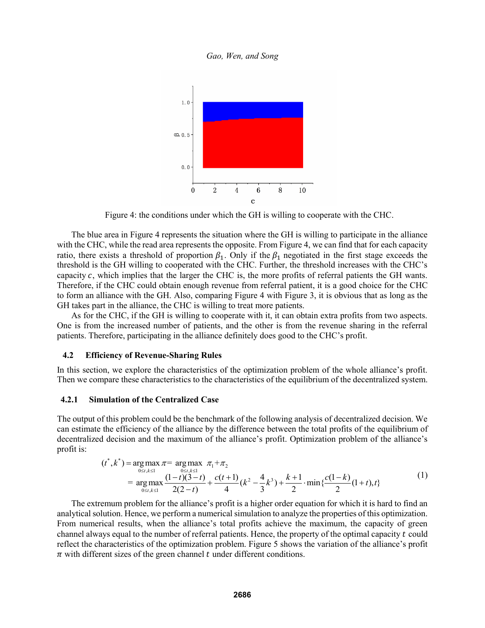*Gao, Wen, and Song*



Figure 4: the conditions under which the GH is willing to cooperate with the CHC.

The blue area in Figure 4 represents the situation where the GH is willing to participate in the alliance with the CHC, while the read area represents the opposite. From Figure 4, we can find that for each capacity ratio, there exists a threshold of proportion  $\beta_1$ . Only if the  $\beta_1$  negotiated in the first stage exceeds the threshold is the GH willing to cooperated with the CHC. Further, the threshold increases with the CHC's capacity  $c$ , which implies that the larger the CHC is, the more profits of referral patients the GH wants. Therefore, if the CHC could obtain enough revenue from referral patient, it is a good choice for the CHC to form an alliance with the GH. Also, comparing Figure 4 with Figure 3, it is obvious that as long as the GH takes part in the alliance, the CHC is willing to treat more patients.

As for the CHC, if the GH is willing to cooperate with it, it can obtain extra profits from two aspects. One is from the increased number of patients, and the other is from the revenue sharing in the referral patients. Therefore, participating in the alliance definitely does good to the CHC's profit.

## **4.2 Efficiency of Revenue-Sharing Rules**

In this section, we explore the characteristics of the optimization problem of the whole alliance's profit. Then we compare these characteristics to the characteristics of the equilibrium of the decentralized system.

### **4.2.1 Simulation of the Centralized Case**

The output of this problem could be the benchmark of the following analysis of decentralized decision. We can estimate the efficiency of the alliance by the difference between the total profits of the equilibrium of decentralized decision and the maximum of the alliance's profit. Optimization problem of the alliance's profit is:<br>  $(t^*, k^*) = \arg \max_{0 \le t, k \le 1} \pi = \arg \max_{0 \le t, k \le 1} \pi_1 + \pi_2$ profit is:  $\ddot{\phantom{a}}$   $\ddot{\phantom{a}}$   $\ddot{\phantom{a}}$   $\ddot{\phantom{a}}$ 

$$
(t^*, k^*) = \underset{0 \le t, k \le 1}{\arg \max} \pi = \underset{0 \le t, k \le 1}{\arg \max} \pi_1 + \pi_2
$$
  
= 
$$
\underset{0 \le t, k \le 1}{\arg \max} \frac{(1-t)(3-t)}{2(2-t)} + \frac{c(t+1)}{4}(k^2 - \frac{4}{3}k^3) + \frac{k+1}{2} \cdot \min\{\frac{c(1-k)}{2}(1+t), t\}
$$
 (1)

The extremum problem for the alliance's profit is a higher order equation for which it is hard to find an analytical solution. Hence, we perform a numerical simulation to analyze the properties of this optimization. From numerical results, when the alliance's total profits achieve the maximum, the capacity of green channel always equal to the number of referral patients. Hence, the property of the optimal capacity t could reflect the characteristics of the optimization problem. Figure 5 shows the variation of the alliance's profit  $\pi$  with different sizes of the green channel  $t$  under different conditions.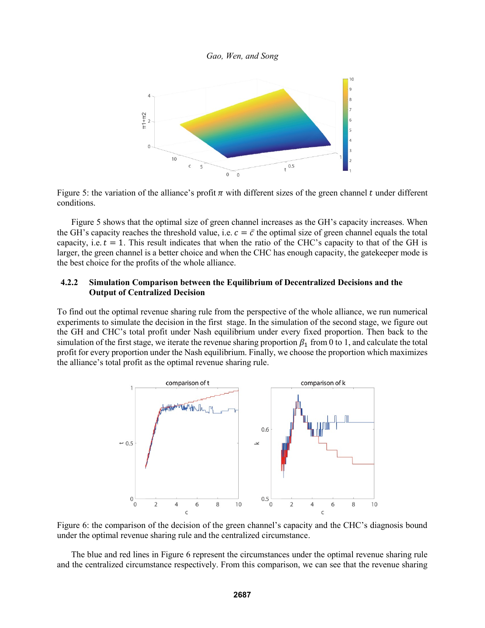

Figure 5: the variation of the alliance's profit  $\pi$  with different sizes of the green channel  $t$  under different conditions.

Figure 5 shows that the optimal size of green channel increases as the GH's capacity increases. When the GH's capacity reaches the threshold value, i.e.  $c = \bar{c}$  the optimal size of green channel equals the total capacity, i.e.  $t = 1$ . This result indicates that when the ratio of the CHC's capacity to that of the GH is larger, the green channel is a better choice and when the CHC has enough capacity, the gatekeeper mode is the best choice for the profits of the whole alliance.

## **4.2.2 Simulation Comparison between the Equilibrium of Decentralized Decisions and the Output of Centralized Decision**

To find out the optimal revenue sharing rule from the perspective of the whole alliance, we run numerical experiments to simulate the decision in the first stage. In the simulation of the second stage, we figure out the GH and CHC's total profit under Nash equilibrium under every fixed proportion. Then back to the simulation of the first stage, we iterate the revenue sharing proportion  $\beta_1$  from 0 to 1, and calculate the total profit for every proportion under the Nash equilibrium. Finally, we choose the proportion which maximizes the alliance's total profit as the optimal revenue sharing rule.



Figure 6: the comparison of the decision of the green channel's capacity and the CHC's diagnosis bound under the optimal revenue sharing rule and the centralized circumstance.

The blue and red lines in Figure 6 represent the circumstances under the optimal revenue sharing rule and the centralized circumstance respectively. From this comparison, we can see that the revenue sharing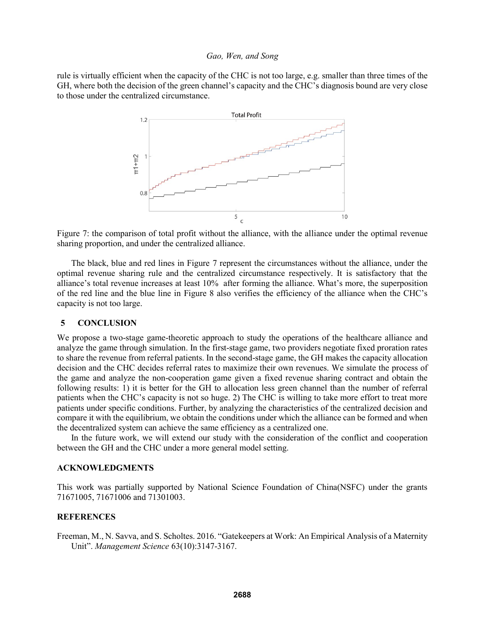rule is virtually efficient when the capacity of the CHC is not too large, e.g. smaller than three times of the GH, where both the decision of the green channel's capacity and the CHC's diagnosis bound are very close to those under the centralized circumstance.



Figure 7: the comparison of total profit without the alliance, with the alliance under the optimal revenue sharing proportion, and under the centralized alliance.

The black, blue and red lines in Figure 7 represent the circumstances without the alliance, under the optimal revenue sharing rule and the centralized circumstance respectively. It is satisfactory that the alliance's total revenue increases at least 10% after forming the alliance. What's more, the superposition of the red line and the blue line in Figure 8 also verifies the efficiency of the alliance when the CHC's capacity is not too large.

## **5 CONCLUSION**

We propose a two-stage game-theoretic approach to study the operations of the healthcare alliance and analyze the game through simulation. In the first-stage game, two providers negotiate fixed proration rates to share the revenue from referral patients. In the second-stage game, the GH makes the capacity allocation decision and the CHC decides referral rates to maximize their own revenues. We simulate the process of the game and analyze the non-cooperation game given a fixed revenue sharing contract and obtain the following results: 1) it is better for the GH to allocation less green channel than the number of referral patients when the CHC's capacity is not so huge. 2) The CHC is willing to take more effort to treat more patients under specific conditions. Further, by analyzing the characteristics of the centralized decision and compare it with the equilibrium, we obtain the conditions under which the alliance can be formed and when the decentralized system can achieve the same efficiency as a centralized one.

In the future work, we will extend our study with the consideration of the conflict and cooperation between the GH and the CHC under a more general model setting.

# **ACKNOWLEDGMENTS**

This work was partially supported by National Science Foundation of China(NSFC) under the grants 71671005, 71671006 and 71301003.

## **REFERENCES**

Freeman, M., N. Savva, and S. Scholtes. 2016. "Gatekeepers at Work: An Empirical Analysis of a Maternity Unit". *Management Science* 63(10):3147-3167.